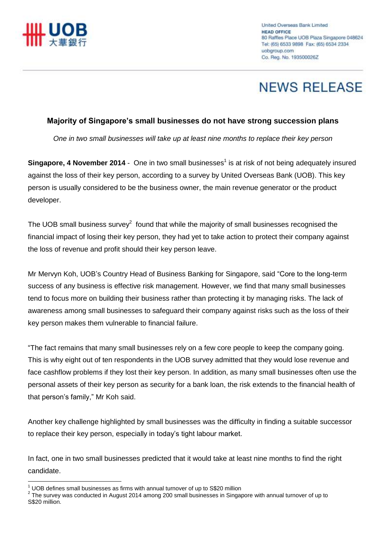

# **NEWS RELEASE**

### **Majority of Singapore's small businesses do not have strong succession plans**

*One in two small businesses will take up at least nine months to replace their key person*

**Singapore, 4 November 2014** - One in two small businesses<sup>1</sup> is at risk of not being adequately insured against the loss of their key person, according to a survey by United Overseas Bank (UOB). This key person is usually considered to be the business owner, the main revenue generator or the product developer.

The UOB small business survey<sup>2</sup> found that while the majority of small businesses recognised the financial impact of losing their key person, they had yet to take action to protect their company against the loss of revenue and profit should their key person leave.

Mr Mervyn Koh, UOB's Country Head of Business Banking for Singapore, said "Core to the long-term success of any business is effective risk management. However, we find that many small businesses tend to focus more on building their business rather than protecting it by managing risks. The lack of awareness among small businesses to safeguard their company against risks such as the loss of their key person makes them vulnerable to financial failure.

"The fact remains that many small businesses rely on a few core people to keep the company going. This is why eight out of ten respondents in the UOB survey admitted that they would lose revenue and face cashflow problems if they lost their key person. In addition, as many small businesses often use the personal assets of their key person as security for a bank loan, the risk extends to the financial health of that person's family," Mr Koh said.

Another key challenge highlighted by small businesses was the difficulty in finding a suitable successor to replace their key person, especially in today's tight labour market.

In fact, one in two small businesses predicted that it would take at least nine months to find the right candidate.

 $\overline{a}$ 

 $1$  UOB defines small businesses as firms with annual turnover of up to S\$20 million

 $^2$  The survey was conducted in August 2014 among 200 small businesses in Singapore with annual turnover of up to S\$20 million.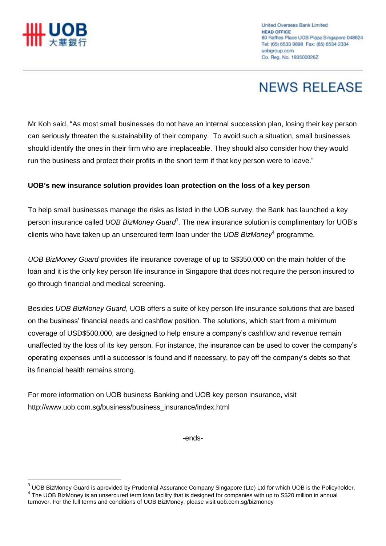

 $\overline{a}$ 

# **NEWS RELEASE**

Mr Koh said, "As most small businesses do not have an internal succession plan, losing their key person can seriously threaten the sustainability of their company. To avoid such a situation, small businesses should identify the ones in their firm who are irreplaceable. They should also consider how they would run the business and protect their profits in the short term if that key person were to leave."

### **UOB's new insurance solution provides loan protection on the loss of a key person**

To help small businesses manage the risks as listed in the UOB survey, the Bank has launched a key person insurance called *UOB BizMoney Guard<sup>3</sup>* . The new insurance solution is complimentary for UOB's clients who have taken up an unsercured term loan under the *UOB BizMoney*<sup>4</sup> programme.

*UOB BizMoney Guard* provides life insurance coverage of up to S\$350,000 on the main holder of the loan and it is the only key person life insurance in Singapore that does not require the person insured to go through financial and medical screening.

Besides *UOB BizMoney Guard*, UOB offers a suite of key person life insurance solutions that are based on the business' financial needs and cashflow position. The solutions, which start from a minimum coverage of USD\$500,000, are designed to help ensure a company's cashflow and revenue remain unaffected by the loss of its key person. For instance, the insurance can be used to cover the company's operating expenses until a successor is found and if necessary, to pay off the company's debts so that its financial health remains strong.

For more information on UOB business Banking and UOB key person insurance, visit http://www.uob.com.sg/business/business\_insurance/index.html

-ends-

 $3$  UOB BizMoney Guard is aprovided by Prudential Assurance Company Singapore (Lte) Ltd for which UOB is the Policyholder. <sup>4</sup> The UOB BizMoney is an unsercured term loan facility that is designed for companies with up to S\$20 million in annual turnover. For the full terms and conditions of UOB BizMoney, please visit uob.com.sg/bizmoney